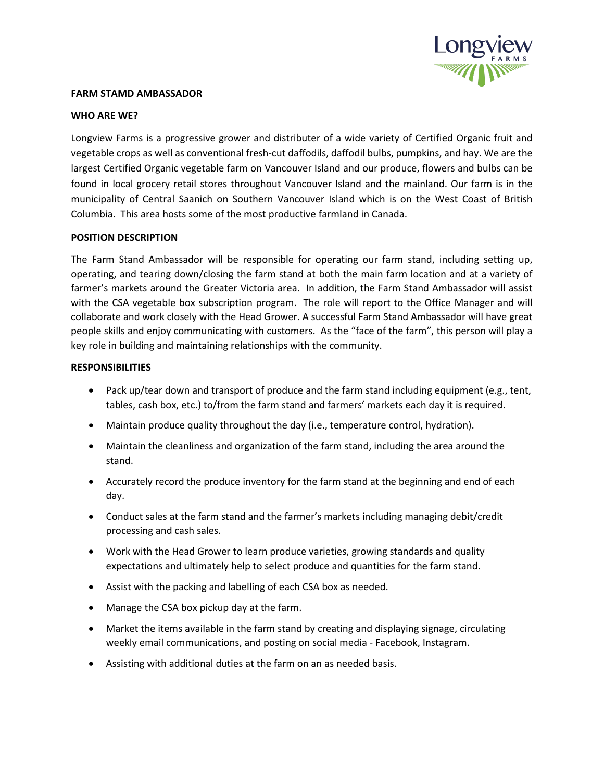

#### **FARM STAMD AMBASSADOR**

### **WHO ARE WE?**

Longview Farms is a progressive grower and distributer of a wide variety of Certified Organic fruit and vegetable crops as well as conventional fresh-cut daffodils, daffodil bulbs, pumpkins, and hay. We are the largest Certified Organic vegetable farm on Vancouver Island and our produce, flowers and bulbs can be found in local grocery retail stores throughout Vancouver Island and the mainland. Our farm is in the municipality of Central Saanich on Southern Vancouver Island which is on the West Coast of British Columbia. This area hosts some of the most productive farmland in Canada.

# **POSITION DESCRIPTION**

The Farm Stand Ambassador will be responsible for operating our farm stand, including setting up, operating, and tearing down/closing the farm stand at both the main farm location and at a variety of farmer's markets around the Greater Victoria area. In addition, the Farm Stand Ambassador will assist with the CSA vegetable box subscription program. The role will report to the Office Manager and will collaborate and work closely with the Head Grower. A successful Farm Stand Ambassador will have great people skills and enjoy communicating with customers. As the "face of the farm", this person will play a key role in building and maintaining relationships with the community.

### **RESPONSIBILITIES**

- Pack up/tear down and transport of produce and the farm stand including equipment (e.g., tent, tables, cash box, etc.) to/from the farm stand and farmers' markets each day it is required.
- Maintain produce quality throughout the day (i.e., temperature control, hydration).
- Maintain the cleanliness and organization of the farm stand, including the area around the stand.
- Accurately record the produce inventory for the farm stand at the beginning and end of each day.
- Conduct sales at the farm stand and the farmer's markets including managing debit/credit processing and cash sales.
- Work with the Head Grower to learn produce varieties, growing standards and quality expectations and ultimately help to select produce and quantities for the farm stand.
- Assist with the packing and labelling of each CSA box as needed.
- Manage the CSA box pickup day at the farm.
- Market the items available in the farm stand by creating and displaying signage, circulating weekly email communications, and posting on social media - Facebook, Instagram.
- Assisting with additional duties at the farm on an as needed basis.